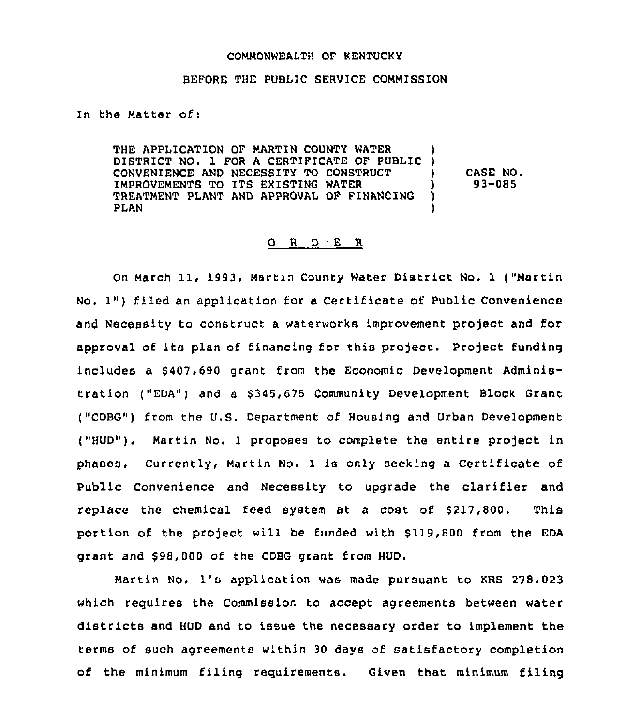## COMMONWEALTH OF KENTUCKY

## BEFORE THE PUBLIC SERVICE COMMISSION

In the Matter of:

THE APPLICATION OF MARTIN COUNTY WATER DISTRICT NO. 1 FOR <sup>A</sup> CERTIFICATE OF PUBLIC ) CONVENIENCE AND NECESSITY TO CONSTRUCT ) IMPROVEMENTS TO ITS EXISTING WATER (1998)<br>TREATMENT PLANT AND APPROVAL OF FINANCING (1998) TREATMENT PLANT AND APPROVAL OF FINANCING<br>PLAN PLAN ) CASE NO. 93-085

## 0 <sup>R</sup> <sup>D</sup> <sup>E</sup> R

On March 11, 1993, Martin County Water District No. <sup>1</sup> ("Martin No. 1") filed an application for a Certificate of Public Convenience and Necessity to construct a waterworks improvement project and for approval of its plan of financing for this project. Project funding includes a \$407,690 grant from the Economic Development Administration ("EDA") and a \$ 345,675 Community Development Block Grant ("CDBG") from the U.S. Department of Housing and Urban Development ("HUD"). Martin No. 1 proposes to complete the entire project in phases. Currently, Martin No. 1 is only seeking a Certificate of Public Convenience and Necessity to upgrade the clarifier and replace the chemical feed system at a cost of \$217,800. This portion of the project will be funded with \$119,800 from the EDA grant and \$98,000 of the CDBG grant from HUD.

Martin No. 1's application was made pursuant to KRS 278.023 which requires the Commission to accept agreements between water districts and HUD and to issue the necessary order to implement the terms of such agreements within 30 days of satisfactory completion of the minimum filing requirements. Given that minimum filing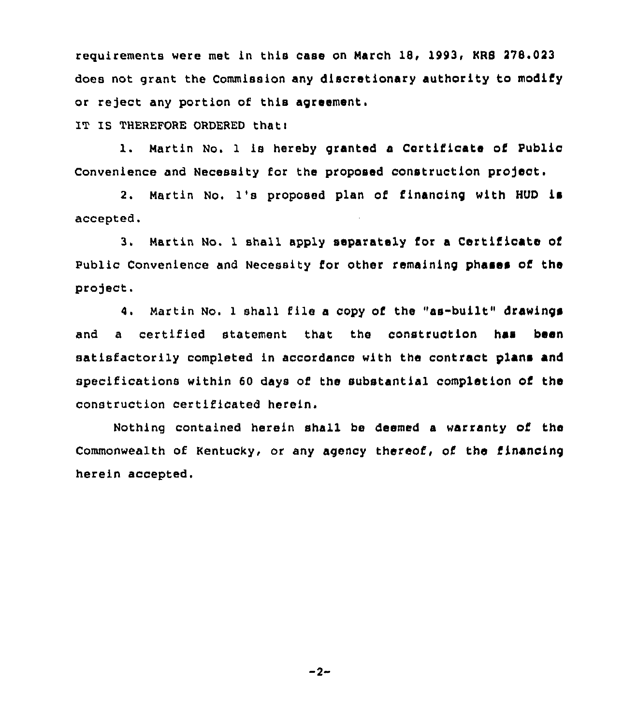requirements were met in this case on March 18, 1993, KR8 278.023 does not grant the Commission any discretionary authority to modify or reject any portion of this agreement.

IT IS THEREFORE ORDERED thati

1. Martin No. 1 is hereby granted a Certificate of Public convenience and Necessity for the proposed construction projeat.

2. Martin No. 1's proposed plan of financing with HUD is accepted.

3. Martin No. 1 shall apply separately for a Certificate of Public Convenience and Necessity for other remaining phases of the project.

4. Nartin No. <sup>1</sup> shall file a copy of the "as-built" drawings and a certified statement that the construction has been satisfactorily completed in accordance with the contract plans and specifications within 60 days of the substantial completion of the construction certificated herein.

Nothing contained herein shall be deemed a warranty of the Commonwealth of Kentucky, or any agency thereof, of the financing herein accepted.

 $-2-$